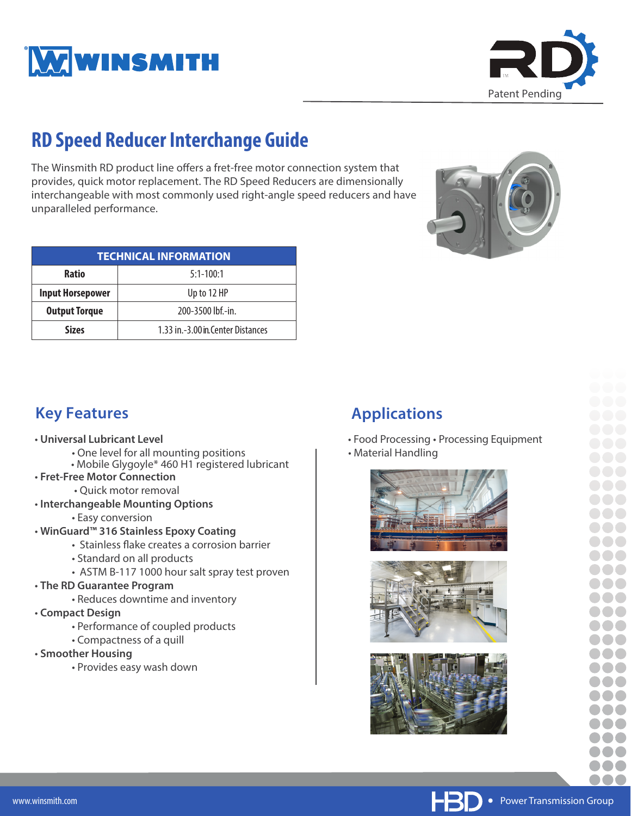



# **RD Speed Reducer Interchange Guide**

The Winsmith RD product line offers a fret-free motor connection system that provides, quick motor replacement. The RD Speed Reducers are dimensionally interchangeable with most commonly used right-angle speed reducers and have unparalleled performance.

| <b>TECHNICAL INFORMATION</b> |                                     |  |  |  |  |  |  |  |  |  |
|------------------------------|-------------------------------------|--|--|--|--|--|--|--|--|--|
| <b>Ratio</b>                 | $5:1-100:1$                         |  |  |  |  |  |  |  |  |  |
| <b>Input Horsepower</b>      | Up to 12 HP                         |  |  |  |  |  |  |  |  |  |
| <b>Output Torque</b>         | 200-3500 lbf.-in.                   |  |  |  |  |  |  |  |  |  |
| <b>Sizes</b>                 | 1.33 in. - 3.00 in Center Distances |  |  |  |  |  |  |  |  |  |



### **Key Features**

- **Universal Lubricant Level**
	- One level for all mounting positions
	- Mobile Glygoyle\* 460 H1 registered lubricant
- **Fret-Free Motor Connection**
	- Quick motor removal
- **Interchangeable Mounting Options**
	- Easy conversion
- **WinGuard™ 316 Stainless Epoxy Coating**
	- Stainless flake creates a corrosion barrier
	- Standard on all products
	- ASTM B-117 1000 hour salt spray test proven
- **The RD Guarantee Program**
	- Reduces downtime and inventory
- **Compact Design**
	- Performance of coupled products
	- Compactness of a quill
- **Smoother Housing**
	- Provides easy wash down

# **Applications**

- Food Processing Processing Equipment
- Material Handling







**∙** Power Transmission Group